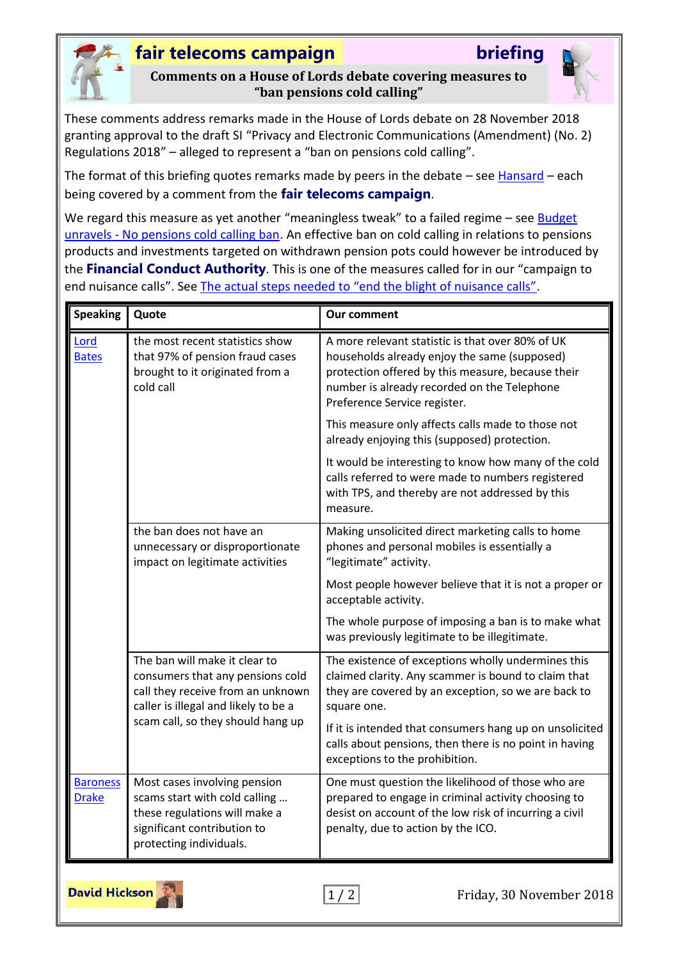

## **fair telecoms campaign briefing**

**Comments on a House of Lords debate covering measures to "ban pensions cold calling"**

These comments address remarks made in the House of Lords debate on 28 November 2018 granting approval to the draft SI "Privacy and Electronic Communications (Amendment) (No. 2) Regulations 2018" – alleged to represent a "ban on pensions cold calling".

The format of this briefing quotes remarks made by peers in the debate  $-$  see [Hansard](https://hansard.parliament.uk/lords/2018-11-28/debates/2505D7D4-6063-4773-BE9C-C1F7C7647D88/PrivacyAndElectronicCommunications(Amendment)(No2)Regulations2018)  $-$  each being covered by a comment from the **fair telecoms campaign**.

We regard this measure as yet another "meaningless tweak" to a failed regime - see **Budget** unravels - [No pensions cold calling ban.](http://www.fairtelecoms.org.uk/docs.html?budnocpccb) An effective ban on cold calling in relations to pensions products and investments targeted on withdrawn pension pots could however be introduced by the **Financial Conduct Authority**. This is one of the measures called for in our "campaign to end nuisance calls". See [The actual steps needed to "end the blight of nuisance calls"](http://www.fairtelecoms.org.uk/docs.html?etbnc).

| <b>Speaking</b>                 | Quote                                                                                                                                                                               | <b>Our comment</b>                                                                                                                                                                                                                   |
|---------------------------------|-------------------------------------------------------------------------------------------------------------------------------------------------------------------------------------|--------------------------------------------------------------------------------------------------------------------------------------------------------------------------------------------------------------------------------------|
| Lord<br><b>Bates</b>            | the most recent statistics show<br>that 97% of pension fraud cases<br>brought to it originated from a<br>cold call                                                                  | A more relevant statistic is that over 80% of UK<br>households already enjoy the same (supposed)<br>protection offered by this measure, because their<br>number is already recorded on the Telephone<br>Preference Service register. |
|                                 |                                                                                                                                                                                     | This measure only affects calls made to those not<br>already enjoying this (supposed) protection.                                                                                                                                    |
|                                 |                                                                                                                                                                                     | It would be interesting to know how many of the cold<br>calls referred to were made to numbers registered<br>with TPS, and thereby are not addressed by this<br>measure.                                                             |
|                                 | the ban does not have an<br>unnecessary or disproportionate<br>impact on legitimate activities                                                                                      | Making unsolicited direct marketing calls to home<br>phones and personal mobiles is essentially a<br>"legitimate" activity.                                                                                                          |
|                                 |                                                                                                                                                                                     | Most people however believe that it is not a proper or<br>acceptable activity.                                                                                                                                                       |
|                                 |                                                                                                                                                                                     | The whole purpose of imposing a ban is to make what<br>was previously legitimate to be illegitimate.                                                                                                                                 |
|                                 | The ban will make it clear to<br>consumers that any pensions cold<br>call they receive from an unknown<br>caller is illegal and likely to be a<br>scam call, so they should hang up | The existence of exceptions wholly undermines this<br>claimed clarity. Any scammer is bound to claim that<br>they are covered by an exception, so we are back to<br>square one.                                                      |
|                                 |                                                                                                                                                                                     | If it is intended that consumers hang up on unsolicited<br>calls about pensions, then there is no point in having<br>exceptions to the prohibition.                                                                                  |
| <b>Baroness</b><br><b>Drake</b> | Most cases involving pension<br>scams start with cold calling<br>these regulations will make a<br>significant contribution to<br>protecting individuals.                            | One must question the likelihood of those who are<br>prepared to engage in criminal activity choosing to<br>desist on account of the low risk of incurring a civil<br>penalty, due to action by the ICO.                             |